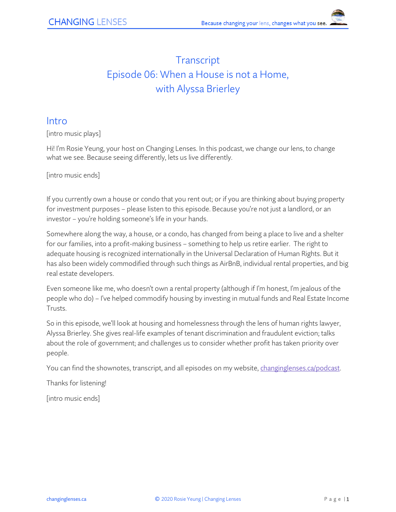# **Transcript** Episode 06: When a House is not a Home, with Alyssa Brierley

#### Intro

[intro music plays]

Hi! I'm Rosie Yeung, your host on Changing Lenses. In this podcast, we change our lens, to change what we see. Because seeing differently, lets us live differently.

[intro music ends]

If you currently own a house or condo that you rent out; or if you are thinking about buying property for investment purposes – please listen to this episode. Because you're not just a landlord, or an investor – you're holding someone's life in your hands.

Somewhere along the way, a house, or a condo, has changed from being a place to live and a shelter for our families, into a profit-making business – something to help us retire earlier. The right to adequate housing is recognized internationally in the Universal Declaration of Human Rights. But it has also been widely commodified through such things as AirBnB, individual rental properties, and big real estate developers.

Even someone like me, who doesn't own a rental property (although if I'm honest, I'm jealous of the people who do) – I've helped commodify housing by investing in mutual funds and Real Estate Income Trusts.

So in this episode, we'll look at housing and homelessness through the lens of human rights lawyer, Alyssa Brierley. She gives real-life examples of tenant discrimination and fraudulent eviction; talks about the role of government; and challenges us to consider whether profit has taken priority over people.

You can find the shownotes, transcript, and all episodes on my website[, changinglenses.ca/podcast.](https://www.changinglenses.ca/podcast/)

Thanks for listening!

[intro music ends]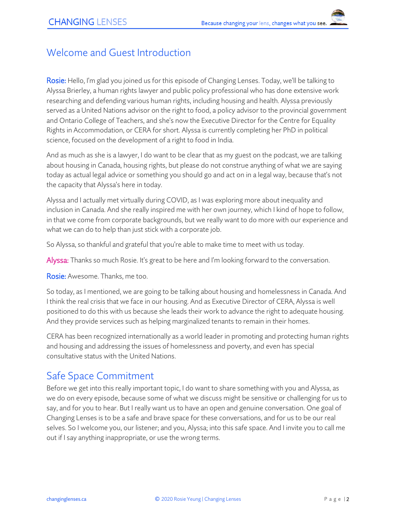## Welcome and Guest Introduction

Rosie: Hello, I'm glad you joined us for this episode of Changing Lenses. Today, we'll be talking to Alyssa Brierley, a human rights lawyer and public policy professional who has done extensive work researching and defending various human rights, including housing and health. Alyssa previously served as a United Nations advisor on the right to food, a policy advisor to the provincial government and Ontario College of Teachers, and she's now the Executive Director for the Centre for Equality Rights in Accommodation, or CERA for short. Alyssa is currently completing her PhD in political science, focused on the development of a right to food in India.

And as much as she is a lawyer, I do want to be clear that as my guest on the podcast, we are talking about housing in Canada, housing rights, but please do not construe anything of what we are saying today as actual legal advice or something you should go and act on in a legal way, because that's not the capacity that Alyssa's here in today.

Alyssa and I actually met virtually during COVID, as I was exploring more about inequality and inclusion in Canada. And she really inspired me with her own journey, which I kind of hope to follow, in that we come from corporate backgrounds, but we really want to do more with our experience and what we can do to help than just stick with a corporate job.

So Alyssa, so thankful and grateful that you're able to make time to meet with us today.

Alyssa: Thanks so much Rosie. It's great to be here and I'm looking forward to the conversation.

Rosie: Awesome. Thanks, me too.

So today, as I mentioned, we are going to be talking about housing and homelessness in Canada. And I think the real crisis that we face in our housing. And as Executive Director of CERA, Alyssa is well positioned to do this with us because she leads their work to advance the right to adequate housing. And they provide services such as helping marginalized tenants to remain in their homes.

CERA has been recognized internationally as a world leader in promoting and protecting human rights and housing and addressing the issues of homelessness and poverty, and even has special consultative status with the United Nations.

## Safe Space Commitment

Before we get into this really important topic, I do want to share something with you and Alyssa, as we do on every episode, because some of what we discuss might be sensitive or challenging for us to say, and for you to hear. But I really want us to have an open and genuine conversation. One goal of Changing Lenses is to be a safe and brave space for these conversations, and for us to be our real selves. So I welcome you, our listener; and you, Alyssa; into this safe space. And I invite you to call me out if I say anything inappropriate, or use the wrong terms.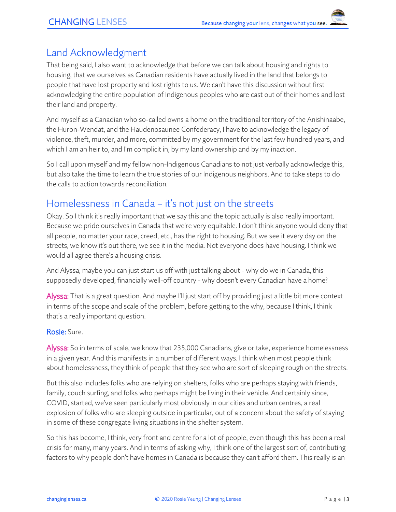### Land Acknowledgment

That being said, I also want to acknowledge that before we can talk about housing and rights to housing, that we ourselves as Canadian residents have actually lived in the land that belongs to people that have lost property and lost rights to us. We can't have this discussion without first acknowledging the entire population of Indigenous peoples who are cast out of their homes and lost their land and property.

And myself as a Canadian who so-called owns a home on the traditional territory of the Anishinaabe, the Huron-Wendat, and the Haudenosaunee Confederacy, I have to acknowledge the legacy of violence, theft, murder, and more, committed by my government for the last few hundred years, and which I am an heir to, and I'm complicit in, by my land ownership and by my inaction.

So I call upon myself and my fellow non-Indigenous Canadians to not just verbally acknowledge this, but also take the time to learn the true stories of our Indigenous neighbors. And to take steps to do the calls to action towards reconciliation.

## Homelessness in Canada – it's not just on the streets

Okay. So I think it's really important that we say this and the topic actually is also really important. Because we pride ourselves in Canada that we're very equitable. I don't think anyone would deny that all people, no matter your race, creed, etc., has the right to housing. But we see it every day on the streets, we know it's out there, we see it in the media. Not everyone does have housing. I think we would all agree there's a housing crisis.

And Alyssa, maybe you can just start us off with just talking about - why do we in Canada, this supposedly developed, financially well-off country - why doesn't every Canadian have a home?

Alyssa: That is a great question. And maybe I'll just start off by providing just a little bit more context in terms of the scope and scale of the problem, before getting to the why, because I think, I think that's a really important question.

#### Rosie: Sure.

Alyssa: So in terms of scale, we know that 235,000 Canadians, give or take, experience homelessness in a given year. And this manifests in a number of different ways. I think when most people think about homelessness, they think of people that they see who are sort of sleeping rough on the streets.

But this also includes folks who are relying on shelters, folks who are perhaps staying with friends, family, couch surfing, and folks who perhaps might be living in their vehicle. And certainly since, COVID, started, we've seen particularly most obviously in our cities and urban centres, a real explosion of folks who are sleeping outside in particular, out of a concern about the safety of staying in some of these congregate living situations in the shelter system.

So this has become, I think, very front and centre for a lot of people, even though this has been a real crisis for many, many years. And in terms of asking why, I think one of the largest sort of, contributing factors to why people don't have homes in Canada is because they can't afford them. This really is an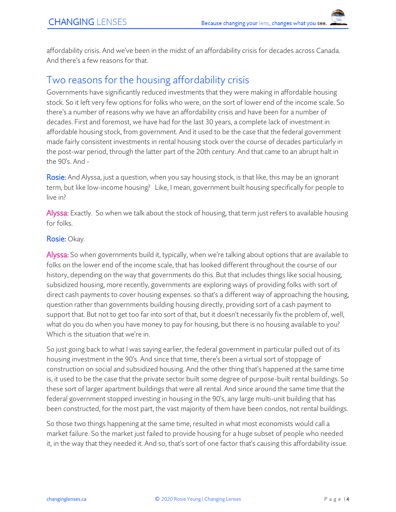affordability crisis. And we've been in the midst of an affordability crisis for decades across Canada. And there's a few reasons for that.

# Two reasons for the housing affordability crisis

Governments have significantly reduced investments that they were making in affordable housing stock. So it left very few options for folks who were, on the sort of lower end of the income scale. So there's a number of reasons why we have an affordability crisis and have been for a number of decades. First and foremost, we have had for the last 30 years, a complete lack of investment in affordable housing stock, from government. And it used to be the case that the federal government made fairly consistent investments in rental housing stock over the course of decades particularly in the post-war period, through the latter part of the 20th century. And that came to an abrupt halt in the  $90's$  And -

Rosie: And Alyssa, just a question, when you say housing stock, is that like, this may be an ignorant term, but like low-income housing? Like, I mean, government built housing specifically for people to live in?

Alyssa: Exactly. So when we talk about the stock of housing, that term just refers to available housing for folks.

#### Rosie: Okay.

Alyssa: So when governments build it, typically, when we're talking about options that are available to folks on the lower end of the income scale, that has looked different throughout the course of our history, depending on the way that governments do this. But that includes things like social housing, subsidized housing, more recently, governments are exploring ways of providing folks with sort of direct cash payments to cover housing expenses. so that's a different way of approaching the housing, question rather than governments building housing directly, providing sort of a cash payment to support that. But not to get too far into sort of that, but it doesn't necessarily fix the problem of, well, what do you do when you have money to pay for housing, but there is no housing available to you? Which is the situation that we're in.

So just going back to what I was saying earlier, the federal government in particular pulled out of its housing investment in the 90's. And since that time, there's been a virtual sort of stoppage of construction on social and subsidized housing. And the other thing that's happened at the same time is, it used to be the case that the private sector built some degree of purpose-built rental buildings. So these sort of larger apartment buildings that were all rental. And since around the same time that the federal government stopped investing in housing in the 90's, any large multi-unit building that has been constructed, for the most part, the vast majority of them have been condos, not rental buildings.

So those two things happening at the same time, resulted in what most economists would call a market failure. So the market just failed to provide housing for a huge subset of people who needed it, in the way that they needed it. And so, that's sort of one factor that's causing this affordability issue.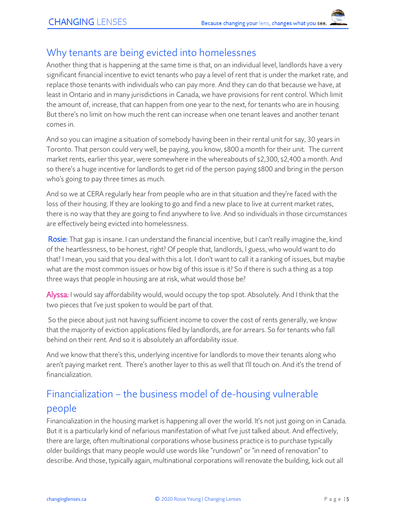### Why tenants are being evicted into homelessnes

Another thing that is happening at the same time is that, on an individual level, landlords have a very significant financial incentive to evict tenants who pay a level of rent that is under the market rate, and replace those tenants with individuals who can pay more. And they can do that because we have, at least in Ontario and in many jurisdictions in Canada, we have provisions for rent control. Which limit the amount of, increase, that can happen from one year to the next, for tenants who are in housing. But there's no limit on how much the rent can increase when one tenant leaves and another tenant comes in.

And so you can imagine a situation of somebody having been in their rental unit for say, 30 years in Toronto. That person could very well, be paying, you know, \$800 a month for their unit. The current market rents, earlier this year, were somewhere in the whereabouts of \$2,300, \$2,400 a month. And so there's a huge incentive for landlords to get rid of the person paying \$800 and bring in the person who's going to pay three times as much.

And so we at CERA regularly hear from people who are in that situation and they're faced with the loss of their housing. If they are looking to go and find a new place to live at current market rates, there is no way that they are going to find anywhere to live. And so individuals in those circumstances are effectively being evicted into homelessness.

Rosie: That gap is insane. I can understand the financial incentive, but I can't really imagine the, kind of the heartlessness, to be honest, right? Of people that, landlords, I guess, who would want to do that? I mean, you said that you deal with this a lot. I don't want to call it a ranking of issues, but maybe what are the most common issues or how big of this issue is it? So if there is such a thing as a top three ways that people in housing are at risk, what would those be?

Alyssa: I would say affordability would, would occupy the top spot. Absolutely. And I think that the two pieces that I've just spoken to would be part of that.

So the piece about just not having sufficient income to cover the cost of rents generally, we know that the majority of eviction applications filed by landlords, are for arrears. So for tenants who fall behind on their rent. And so it is absolutely an affordability issue.

And we know that there's this, underlying incentive for landlords to move their tenants along who aren't paying market rent. There's another layer to this as well that I'll touch on. And it's the trend of financialization.

# Financialization – the business model of de-housing vulnerable people

Financialization in the housing market is happening all over the world. It's not just going on in Canada. But it is a particularly kind of nefarious manifestation of what I've just talked about. And effectively, there are large, often multinational corporations whose business practice is to purchase typically older buildings that many people would use words like "rundown" or "in need of renovation" to describe. And those, typically again, multinational corporations will renovate the building, kick out all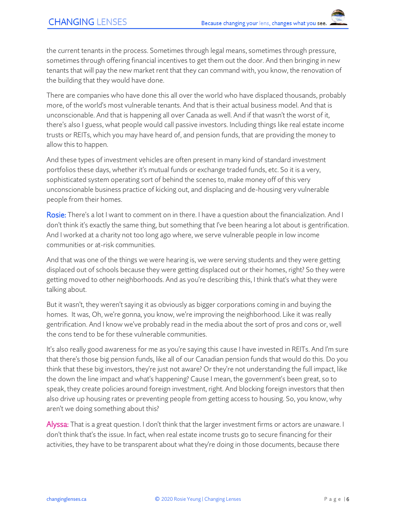the current tenants in the process. Sometimes through legal means, sometimes through pressure, sometimes through offering financial incentives to get them out the door. And then bringing in new tenants that will pay the new market rent that they can command with, you know, the renovation of the building that they would have done.

There are companies who have done this all over the world who have displaced thousands, probably more, of the world's most vulnerable tenants. And that is their actual business model. And that is unconscionable. And that is happening all over Canada as well. And if that wasn't the worst of it, there's also I guess, what people would call passive investors. Including things like real estate income trusts or REITs, which you may have heard of, and pension funds, that are providing the money to allow this to happen.

And these types of investment vehicles are often present in many kind of standard investment portfolios these days, whether it's mutual funds or exchange traded funds, etc. So it is a very, sophisticated system operating sort of behind the scenes to, make money off of this very unconscionable business practice of kicking out, and displacing and de-housing very vulnerable people from their homes.

Rosie: There's a lot I want to comment on in there. I have a question about the financialization. And I don't think it's exactly the same thing, but something that I've been hearing a lot about is gentrification. And I worked at a charity not too long ago where, we serve vulnerable people in low income communities or at-risk communities.

And that was one of the things we were hearing is, we were serving students and they were getting displaced out of schools because they were getting displaced out or their homes, right? So they were getting moved to other neighborhoods. And as you're describing this, I think that's what they were talking about.

But it wasn't, they weren't saying it as obviously as bigger corporations coming in and buying the homes. It was, Oh, we're gonna, you know, we're improving the neighborhood. Like it was really gentrification. And I know we've probably read in the media about the sort of pros and cons or, well the cons tend to be for these vulnerable communities.

It's also really good awareness for me as you're saying this cause I have invested in REITs. And I'm sure that there's those big pension funds, like all of our Canadian pension funds that would do this. Do you think that these big investors, they're just not aware? Or they're not understanding the full impact, like the down the line impact and what's happening? Cause I mean, the government's been great, so to speak, they create policies around foreign investment, right. And blocking foreign investors that then also drive up housing rates or preventing people from getting access to housing. So, you know, why aren't we doing something about this?

Alyssa: That is a great question. I don't think that the larger investment firms or actors are unaware. I don't think that's the issue. In fact, when real estate income trusts go to secure financing for their activities, they have to be transparent about what they're doing in those documents, because there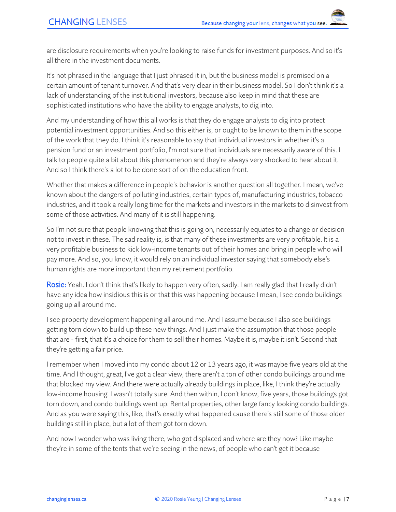are disclosure requirements when you're looking to raise funds for investment purposes. And so it's all there in the investment documents.

It's not phrased in the language that I just phrased it in, but the business model is premised on a certain amount of tenant turnover. And that's very clear in their business model. So I don't think it's a lack of understanding of the institutional investors, because also keep in mind that these are sophisticated institutions who have the ability to engage analysts, to dig into.

And my understanding of how this all works is that they do engage analysts to dig into protect potential investment opportunities. And so this either is, or ought to be known to them in the scope of the work that they do. I think it's reasonable to say that individual investors in whether it's a pension fund or an investment portfolio, I'm not sure that individuals are necessarily aware of this. I talk to people quite a bit about this phenomenon and they're always very shocked to hear about it. And so I think there's a lot to be done sort of on the education front.

Whether that makes a difference in people's behavior is another question all together. I mean, we've known about the dangers of polluting industries, certain types of, manufacturing industries, tobacco industries, and it took a really long time for the markets and investors in the markets to disinvest from some of those activities. And many of it is still happening.

So I'm not sure that people knowing that this is going on, necessarily equates to a change or decision not to invest in these. The sad reality is, is that many of these investments are very profitable. It is a very profitable business to kick low-income tenants out of their homes and bring in people who will pay more. And so, you know, it would rely on an individual investor saying that somebody else's human rights are more important than my retirement portfolio.

Rosie: Yeah. I don't think that's likely to happen very often, sadly. I am really glad that I really didn't have any idea how insidious this is or that this was happening because I mean, I see condo buildings going up all around me.

I see property development happening all around me. And I assume because I also see buildings getting torn down to build up these new things. And I just make the assumption that those people that are - first, that it's a choice for them to sell their homes. Maybe it is, maybe it isn't. Second that they're getting a fair price.

I remember when I moved into my condo about 12 or 13 years ago, it was maybe five years old at the time. And I thought, great, I've got a clear view, there aren't a ton of other condo buildings around me that blocked my view. And there were actually already buildings in place, like, I think they're actually low-income housing. I wasn't totally sure. And then within, I don't know, five years, those buildings got torn down, and condo buildings went up. Rental properties, other large fancy looking condo buildings. And as you were saying this, like, that's exactly what happened cause there's still some of those older buildings still in place, but a lot of them got torn down.

And now I wonder who was living there, who got displaced and where are they now? Like maybe they're in some of the tents that we're seeing in the news, of people who can't get it because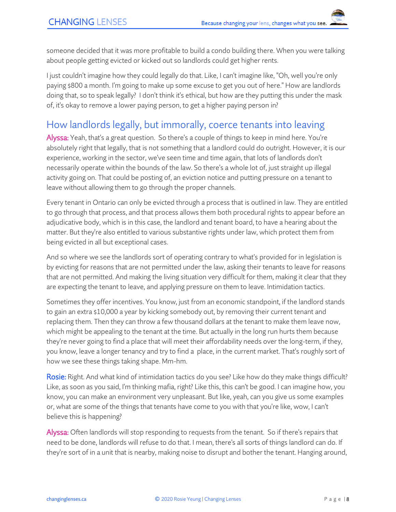someone decided that it was more profitable to build a condo building there. When you were talking about people getting evicted or kicked out so landlords could get higher rents.

I just couldn't imagine how they could legally do that. Like, I can't imagine like, "Oh, well you're only paying \$800 a month. I'm going to make up some excuse to get you out of here." How are landlords doing that, so to speak legally? I don't think it's ethical, but how are they putting this under the mask of, it's okay to remove a lower paying person, to get a higher paying person in?

# How landlords legally, but immorally, coerce tenants into leaving

Alyssa: Yeah, that's a great question. So there's a couple of things to keep in mind here. You're absolutely right that legally, that is not something that a landlord could do outright. However, it is our experience, working in the sector, we've seen time and time again, that lots of landlords don't necessarily operate within the bounds of the law. So there's a whole lot of, just straight up illegal activity going on. That could be posting of, an eviction notice and putting pressure on a tenant to leave without allowing them to go through the proper channels.

Every tenant in Ontario can only be evicted through a process that is outlined in law. They are entitled to go through that process, and that process allows them both procedural rights to appear before an adjudicative body, which is in this case, the landlord and tenant board, to have a hearing about the matter. But they're also entitled to various substantive rights under law, which protect them from being evicted in all but exceptional cases.

And so where we see the landlords sort of operating contrary to what's provided for in legislation is by evicting for reasons that are not permitted under the law, asking their tenants to leave for reasons that are not permitted. And making the living situation very difficult for them, making it clear that they are expecting the tenant to leave, and applying pressure on them to leave. Intimidation tactics.

Sometimes they offer incentives. You know, just from an economic standpoint, if the landlord stands to gain an extra \$10,000 a year by kicking somebody out, by removing their current tenant and replacing them. Then they can throw a few thousand dollars at the tenant to make them leave now, which might be appealing to the tenant at the time. But actually in the long run hurts them because they're never going to find a place that will meet their affordability needs over the long-term, if they, you know, leave a longer tenancy and try to find a place, in the current market. That's roughly sort of how we see these things taking shape. Mm-hm.

Rosie: Right. And what kind of intimidation tactics do you see? Like how do they make things difficult? Like, as soon as you said, I'm thinking mafia, right? Like this, this can't be good. I can imagine how, you know, you can make an environment very unpleasant. But like, yeah, can you give us some examples or, what are some of the things that tenants have come to you with that you're like, wow, I can't believe this is happening?

Alyssa: Often landlords will stop responding to requests from the tenant. So if there's repairs that need to be done, landlords will refuse to do that. I mean, there's all sorts of things landlord can do. If they're sort of in a unit that is nearby, making noise to disrupt and bother the tenant. Hanging around,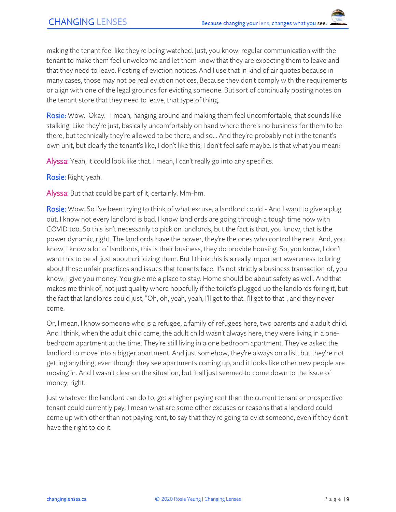making the tenant feel like they're being watched. Just, you know, regular communication with the tenant to make them feel unwelcome and let them know that they are expecting them to leave and that they need to leave. Posting of eviction notices. And I use that in kind of air quotes because in many cases, those may not be real eviction notices. Because they don't comply with the requirements or align with one of the legal grounds for evicting someone. But sort of continually posting notes on the tenant store that they need to leave, that type of thing.

Rosie: Wow. Okay. I mean, hanging around and making them feel uncomfortable, that sounds like stalking. Like they're just, basically uncomfortably on hand where there's no business for them to be there, but technically they're allowed to be there, and so... And they're probably not in the tenant's own unit, but clearly the tenant's like, I don't like this, I don't feel safe maybe. Is that what you mean?

Alyssa: Yeah, it could look like that. I mean, I can't really go into any specifics.

Rosie: Right, yeah.

Alyssa: But that could be part of it, certainly. Mm-hm.

Rosie: Wow. So I've been trying to think of what excuse, a landlord could - And I want to give a plug out. I know not every landlord is bad. I know landlords are going through a tough time now with COVID too. So this isn't necessarily to pick on landlords, but the fact is that, you know, that is the power dynamic, right. The landlords have the power, they're the ones who control the rent. And, you know, I know a lot of landlords, this is their business, they do provide housing. So, you know, I don't want this to be all just about criticizing them. But I think this is a really important awareness to bring about these unfair practices and issues that tenants face. It's not strictly a business transaction of, you know, I give you money. You give me a place to stay. Home should be about safety as well. And that makes me think of, not just quality where hopefully if the toilet's plugged up the landlords fixing it, but the fact that landlords could just, "Oh, oh, yeah, yeah, I'll get to that. I'll get to that", and they never come.

Or, I mean, I know someone who is a refugee, a family of refugees here, two parents and a adult child. And I think, when the adult child came, the adult child wasn't always here, they were living in a onebedroom apartment at the time. They're still living in a one bedroom apartment. They've asked the landlord to move into a bigger apartment. And just somehow, they're always on a list, but they're not getting anything, even though they see apartments coming up, and it looks like other new people are moving in. And I wasn't clear on the situation, but it all just seemed to come down to the issue of money, right.

Just whatever the landlord can do to, get a higher paying rent than the current tenant or prospective tenant could currently pay. I mean what are some other excuses or reasons that a landlord could come up with other than not paying rent, to say that they're going to evict someone, even if they don't have the right to do it.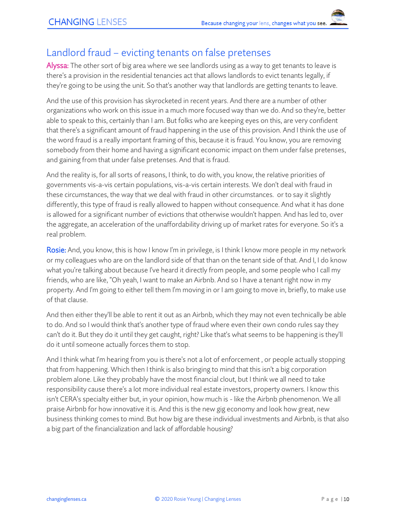# Landlord fraud – evicting tenants on false pretenses

Alyssa: The other sort of big area where we see landlords using as a way to get tenants to leave is there's a provision in the residential tenancies act that allows landlords to evict tenants legally, if they're going to be using the unit. So that's another way that landlords are getting tenants to leave.

And the use of this provision has skyrocketed in recent years. And there are a number of other organizations who work on this issue in a much more focused way than we do. And so they're, better able to speak to this, certainly than I am. But folks who are keeping eyes on this, are very confident that there's a significant amount of fraud happening in the use of this provision. And I think the use of the word fraud is a really important framing of this, because it is fraud. You know, you are removing somebody from their home and having a significant economic impact on them under false pretenses, and gaining from that under false pretenses. And that is fraud.

And the reality is, for all sorts of reasons, I think, to do with, you know, the relative priorities of governments vis-a-vis certain populations, vis-a-vis certain interests. We don't deal with fraud in these circumstances, the way that we deal with fraud in other circumstances. or to say it slightly differently, this type of fraud is really allowed to happen without consequence. And what it has done is allowed for a significant number of evictions that otherwise wouldn't happen. And has led to, over the aggregate, an acceleration of the unaffordability driving up of market rates for everyone. So it's a real problem.

Rosie: And, you know, this is how I know I'm in privilege, is I think I know more people in my network or my colleagues who are on the landlord side of that than on the tenant side of that. And I, I do know what you're talking about because I've heard it directly from people, and some people who I call my friends, who are like, "Oh yeah, I want to make an Airbnb. And so I have a tenant right now in my property. And I'm going to either tell them I'm moving in or I am going to move in, briefly, to make use of that clause.

And then either they'll be able to rent it out as an Airbnb, which they may not even technically be able to do. And so I would think that's another type of fraud where even their own condo rules say they can't do it. But they do it until they get caught, right? Like that's what seems to be happening is they'll do it until someone actually forces them to stop.

And I think what I'm hearing from you is there's not a lot of enforcement , or people actually stopping that from happening. Which then I think is also bringing to mind that this isn't a big corporation problem alone. Like they probably have the most financial clout, but I think we all need to take responsibility cause there's a lot more individual real estate investors, property owners. I know this isn't CERA's specialty either but, in your opinion, how much is - like the Airbnb phenomenon. We all praise Airbnb for how innovative it is. And this is the new gig economy and look how great, new business thinking comes to mind. But how big are these individual investments and Airbnb, is that also a big part of the financialization and lack of affordable housing?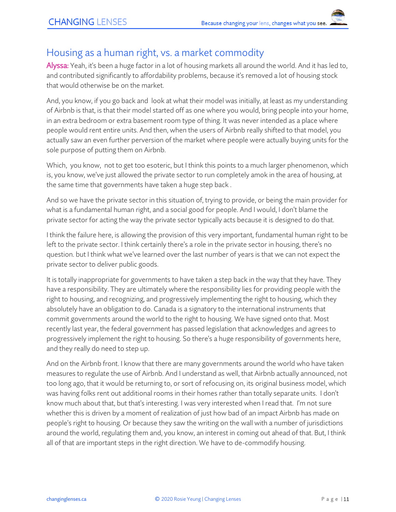## Housing as a human right, vs. a market commodity

Alyssa: Yeah, it's been a huge factor in a lot of housing markets all around the world. And it has led to, and contributed significantly to affordability problems, because it's removed a lot of housing stock that would otherwise be on the market.

And, you know, if you go back and look at what their model was initially, at least as my understanding of Airbnb is that, is that their model started off as one where you would, bring people into your home, in an extra bedroom or extra basement room type of thing. It was never intended as a place where people would rent entire units. And then, when the users of Airbnb really shifted to that model, you actually saw an even further perversion of the market where people were actually buying units for the sole purpose of putting them on Airbnb.

Which, you know, not to get too esoteric, but I think this points to a much larger phenomenon, which is, you know, we've just allowed the private sector to run completely amok in the area of housing, at the same time that governments have taken a huge step back .

And so we have the private sector in this situation of, trying to provide, or being the main provider for what is a fundamental human right, and a social good for people. And I would, I don't blame the private sector for acting the way the private sector typically acts because it is designed to do that.

I think the failure here, is allowing the provision of this very important, fundamental human right to be left to the private sector. I think certainly there's a role in the private sector in housing, there's no question. but I think what we've learned over the last number of years is that we can not expect the private sector to deliver public goods.

It is totally inappropriate for governments to have taken a step back in the way that they have. They have a responsibility. They are ultimately where the responsibility lies for providing people with the right to housing, and recognizing, and progressively implementing the right to housing, which they absolutely have an obligation to do. Canada is a signatory to the international instruments that commit governments around the world to the right to housing. We have signed onto that. Most recently last year, the federal government has passed legislation that acknowledges and agrees to progressively implement the right to housing. So there's a huge responsibility of governments here, and they really do need to step up.

And on the Airbnb front. I know that there are many governments around the world who have taken measures to regulate the use of Airbnb. And I understand as well, that Airbnb actually announced, not too long ago, that it would be returning to, or sort of refocusing on, its original business model, which was having folks rent out additional rooms in their homes rather than totally separate units. I don't know much about that, but that's interesting. I was very interested when I read that. I'm not sure whether this is driven by a moment of realization of just how bad of an impact Airbnb has made on people's right to housing. Or because they saw the writing on the wall with a number of jurisdictions around the world, regulating them and, you know, an interest in coming out ahead of that. But, I think all of that are important steps in the right direction. We have to de-commodify housing.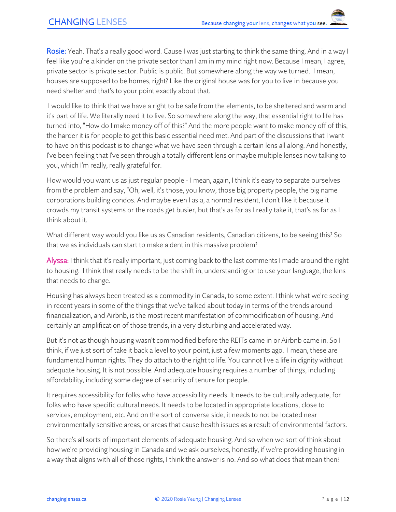Rosie: Yeah. That's a really good word. Cause I was just starting to think the same thing. And in a way I feel like you're a kinder on the private sector than I am in my mind right now. Because I mean, I agree, private sector is private sector. Public is public. But somewhere along the way we turned. I mean, houses are supposed to be homes, right? Like the original house was for you to live in because you need shelter and that's to your point exactly about that.

I would like to think that we have a right to be safe from the elements, to be sheltered and warm and it's part of life. We literally need it to live. So somewhere along the way, that essential right to life has turned into, "How do I make money off of this?" And the more people want to make money off of this, the harder it is for people to get this basic essential need met. And part of the discussions that I want to have on this podcast is to change what we have seen through a certain lens all along. And honestly, I've been feeling that I've seen through a totally different lens or maybe multiple lenses now talking to you, which I'm really, really grateful for.

How would you want us as just regular people - I mean, again, I think it's easy to separate ourselves from the problem and say, "Oh, well, it's those, you know, those big property people, the big name corporations building condos. And maybe even I as a, a normal resident, I don't like it because it crowds my transit systems or the roads get busier, but that's as far as I really take it, that's as far as I think about it.

What different way would you like us as Canadian residents, Canadian citizens, to be seeing this? So that we as individuals can start to make a dent in this massive problem?

Alyssa: I think that it's really important, just coming back to the last comments I made around the right to housing. I think that really needs to be the shift in, understanding or to use your language, the lens that needs to change.

Housing has always been treated as a commodity in Canada, to some extent. I think what we're seeing in recent years in some of the things that we've talked about today in terms of the trends around financialization, and Airbnb, is the most recent manifestation of commodification of housing. And certainly an amplification of those trends, in a very disturbing and accelerated way.

But it's not as though housing wasn't commodified before the REITs came in or Airbnb came in. So I think, if we just sort of take it back a level to your point, just a few moments ago. I mean, these are fundamental human rights. They do attach to the right to life. You cannot live a life in dignity without adequate housing. It is not possible. And adequate housing requires a number of things, including affordability, including some degree of security of tenure for people.

It requires accessibility for folks who have accessibility needs. It needs to be culturally adequate, for folks who have specific cultural needs. It needs to be located in appropriate locations, close to services, employment, etc. And on the sort of converse side, it needs to not be located near environmentally sensitive areas, or areas that cause health issues as a result of environmental factors.

So there's all sorts of important elements of adequate housing. And so when we sort of think about how we're providing housing in Canada and we ask ourselves, honestly, if we're providing housing in a way that aligns with all of those rights, I think the answer is no. And so what does that mean then?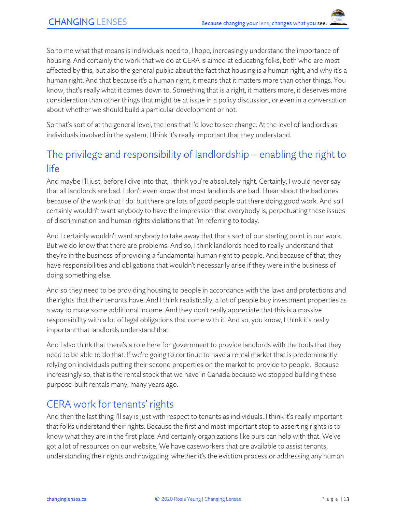So to me what that means is individuals need to, I hope, increasingly understand the importance of housing. And certainly the work that we do at CERA is aimed at educating folks, both who are most affected by this, but also the general public about the fact that housing is a human right, and why it's a human right. And that because it's a human right, it means that it matters more than other things. You know, that's really what it comes down to. Something that is a right, it matters more, it deserves more consideration than other things that might be at issue in a policy discussion, or even in a conversation about whether we should build a particular development or not.

So that's sort of at the general level, the lens that I'd love to see change. At the level of landlords as individuals involved in the system, I think it's really important that they understand.

# The privilege and responsibility of landlordship – enabling the right to life

And maybe I'll just, before I dive into that, I think you're absolutely right. Certainly, I would never say that all landlords are bad. I don't even know that most landlords are bad. I hear about the bad ones because of the work that I do. but there are lots of good people out there doing good work. And so I certainly wouldn't want anybody to have the impression that everybody is, perpetuating these issues of discrimination and human rights violations that I'm referring to today.

And I certainly wouldn't want anybody to take away that that's sort of our starting point in our work. But we do know that there are problems. And so, I think landlords need to really understand that they're in the business of providing a fundamental human right to people. And because of that, they have responsibilities and obligations that wouldn't necessarily arise if they were in the business of doing something else.

And so they need to be providing housing to people in accordance with the laws and protections and the rights that their tenants have. And I think realistically, a lot of people buy investment properties as a way to make some additional income. And they don't really appreciate that this is a massive responsibility with a lot of legal obligations that come with it. And so, you know, I think it's really important that landlords understand that.

And I also think that there's a role here for government to provide landlords with the tools that they need to be able to do that. If we're going to continue to have a rental market that is predominantly relying on individuals putting their second properties on the market to provide to people. Because increasingly so, that is the rental stock that we have in Canada because we stopped building these purpose-built rentals many, many years ago.

# CERA work for tenants' rights

And then the last thing I'll say is just with respect to tenants as individuals. I think it's really important that folks understand their rights. Because the first and most important step to asserting rights is to know what they are in the first place. And certainly organizations like ours can help with that. We've got a lot of resources on our website. We have caseworkers that are available to assist tenants, understanding their rights and navigating, whether it's the eviction process or addressing any human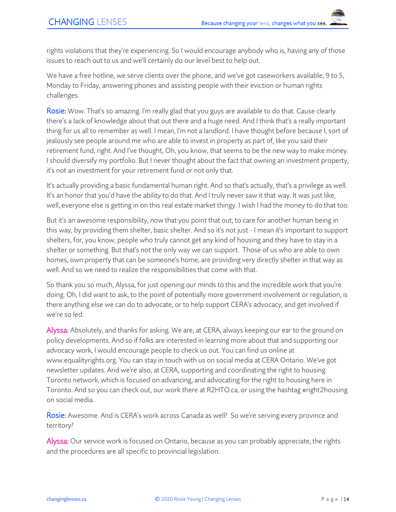rights violations that they're experiencing. So I would encourage anybody who is, having any of those issues to reach out to us and we'll certainly do our level best to help out.

We have a free hotline, we serve clients over the phone, and we've got caseworkers available, 9 to 5, Monday to Friday, answering phones and assisting people with their eviction or human rights challenges.

Rosie: Wow. That's so amazing. I'm really glad that you guys are available to do that. Cause clearly there's a lack of knowledge about that out there and a huge need. And I think that's a really important thing for us all to remember as well. I mean, I'm not a landlord. I have thought before because I, sort of jealously see people around me who are able to invest in property as part of, like you said their retirement fund, right. And I've thought, Oh, you know, that seems to be the new way to make money. I should diversify my portfolio. But I never thought about the fact that owning an investment property, it's not an investment for your retirement fund or not only that.

It's actually providing a basic fundamental human right. And so that's actually, that's a privilege as well. It's an honor that you'd have the ability to do that. And I truly never saw it that way. It was just like, well, everyone else is getting in on this real estate market thingy. I wish I had the money to do that too.

But it's an awesome responsibility, now that you point that out, to care for another human being in this way, by providing them shelter, basic shelter. And so it's not just - I mean it's important to support shelters, for, you know, people who truly cannot get any kind of housing and they have to stay in a shelter or something. But that's not the only way we can support. Those of us who are able to own homes, own property that can be someone's home, are providing very directly shelter in that way as well. And so we need to realize the responsibilities that come with that.

So thank you so much, Alyssa, for just opening our minds to this and the incredible work that you're doing. Oh, I did want to ask, to the point of potentially more government involvement or regulation, is there anything else we can do to advocate, or to help support CERA's advocacy, and get involved if we're so led.

Alyssa: Absolutely, and thanks for asking. We are, at CERA, always keeping our ear to the ground on policy developments. And so if folks are interested in learning more about that and supporting our advocacy work, I would encourage people to check us out. You can find us online at www.equalityrights.org. You can stay in touch with us on social media at CERA Ontario. We've got newsletter updates. And we're also, at CERA, supporting and coordinating the right to housing Toronto network, which is focused on advancing, and advocating for the right to housing here in Toronto. And so you can check out, our work there at R2HTO.ca, or using the hashtag #right2housing on social media.

Rosie: Awesome. And is CERA's work across Canada as well? So we're serving every province and territory?

Alyssa: Our service work is focused on Ontario, because as you can probably appreciate, the rights and the procedures are all specific to provincial legislation.